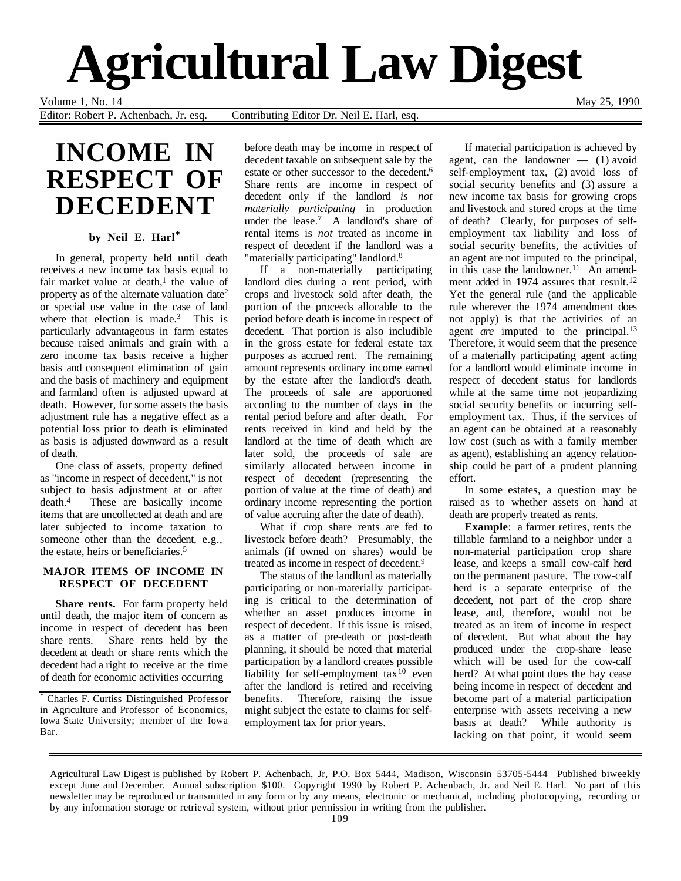# **Agricultural Law Digest**

Volume 1, No. 14 May 25, 1990

Editor: Robert P. Achenbach, Jr. esq. Contributing Editor Dr. Neil E. Harl, esq.

# **INCOME IN RESPECT OF DECEDENT**

## **by Neil E. Harl\***

In general, property held until death receives a new income tax basis equal to fair market value at death, $<sup>1</sup>$  the value of</sup> property as of the alternate valuation date2 or special use value in the case of land where that election is made.<sup>3</sup> This is particularly advantageous in farm estates because raised animals and grain with a zero income tax basis receive a higher basis and consequent elimination of gain and the basis of machinery and equipment and farmland often is adjusted upward at death. However, for some assets the basis adjustment rule has a negative effect as a potential loss prior to death is eliminated as basis is adjusted downward as a result of death.

One class of assets, property defined as "income in respect of decedent," is not subject to basis adjustment at or after death.4 These are basically income items that are uncollected at death and are later subjected to income taxation to someone other than the decedent, e.g., the estate, heirs or beneficiaries.5

#### **MAJOR ITEMS OF INCOME IN RESPECT OF DECEDENT**

**Share rents.** For farm property held until death, the major item of concern as income in respect of decedent has been share rents. Share rents held by the decedent at death or share rents which the decedent had a right to receive at the time of death for economic activities occurring

\* Charles F. Curtiss Distinguished Professor in Agriculture and Professor of Economics, Iowa State University; member of the Iowa Bar.

before death may be income in respect of decedent taxable on subsequent sale by the estate or other successor to the decedent.6 Share rents are income in respect of decedent only if the landlord *is not materially participating* in production under the lease.<sup>7</sup> A landlord's share of rental items is *not* treated as income in respect of decedent if the landlord was a "materially participating" landlord.<sup>8</sup>

If a non-materially participating landlord dies during a rent period, with crops and livestock sold after death, the portion of the proceeds allocable to the period before death is income in respect of decedent. That portion is also includible in the gross estate for federal estate tax purposes as accrued rent. The remaining amount represents ordinary income earned by the estate after the landlord's death. The proceeds of sale are apportioned according to the number of days in the rental period before and after death. For rents received in kind and held by the landlord at the time of death which are later sold, the proceeds of sale are similarly allocated between income in respect of decedent (representing the portion of value at the time of death) and ordinary income representing the portion of value accruing after the date of death).

What if crop share rents are fed to livestock before death? Presumably, the animals (if owned on shares) would be treated as income in respect of decedent.<sup>9</sup>

The status of the landlord as materially participating or non-materially participating is critical to the determination of whether an asset produces income in respect of decedent. If this issue is raised, as a matter of pre-death or post-death planning, it should be noted that material participation by a landlord creates possible liability for self-employment  $tax^{10}$  even after the landlord is retired and receiving benefits. Therefore, raising the issue might subject the estate to claims for selfemployment tax for prior years.

If material participation is achieved by agent, can the landowner — (1) avoid self-employment tax, (2) avoid loss of social security benefits and (3) assure a new income tax basis for growing crops and livestock and stored crops at the time of death? Clearly, for purposes of selfemployment tax liability and loss of social security benefits, the activities of an agent are not imputed to the principal, in this case the landowner.<sup>11</sup> An amendment added in 1974 assures that result.<sup>12</sup> Yet the general rule (and the applicable rule wherever the 1974 amendment does not apply) is that the activities of an agent *are* imputed to the principal.<sup>13</sup> Therefore, it would seem that the presence of a materially participating agent acting for a landlord would eliminate income in respect of decedent status for landlords while at the same time not jeopardizing social security benefits or incurring selfemployment tax. Thus, if the services of an agent can be obtained at a reasonably low cost (such as with a family member as agent), establishing an agency relationship could be part of a prudent planning effort.

In some estates, a question may be raised as to whether assets on hand at death are properly treated as rents.

**Example**: a farmer retires, rents the tillable farmland to a neighbor under a non-material participation crop share lease, and keeps a small cow-calf herd on the permanent pasture. The cow-calf herd is a separate enterprise of the decedent, not part of the crop share lease, and, therefore, would not be treated as an item of income in respect of decedent. But what about the hay produced under the crop-share lease which will be used for the cow-calf herd? At what point does the hay cease being income in respect of decedent and become part of a material participation enterprise with assets receiving a new basis at death? While authority is lacking on that point, it would seem

Agricultural Law Digest is published by Robert P. Achenbach, Jr, P.O. Box 5444, Madison, Wisconsin 53705-5444 Published biweekly except June and December. Annual subscription \$100. Copyright 1990 by Robert P. Achenbach, Jr. and Neil E. Harl. No part of this newsletter may be reproduced or transmitted in any form or by any means, electronic or mechanical, including photocopying, recording or by any information storage or retrieval system, without prior permission in writing from the publisher.